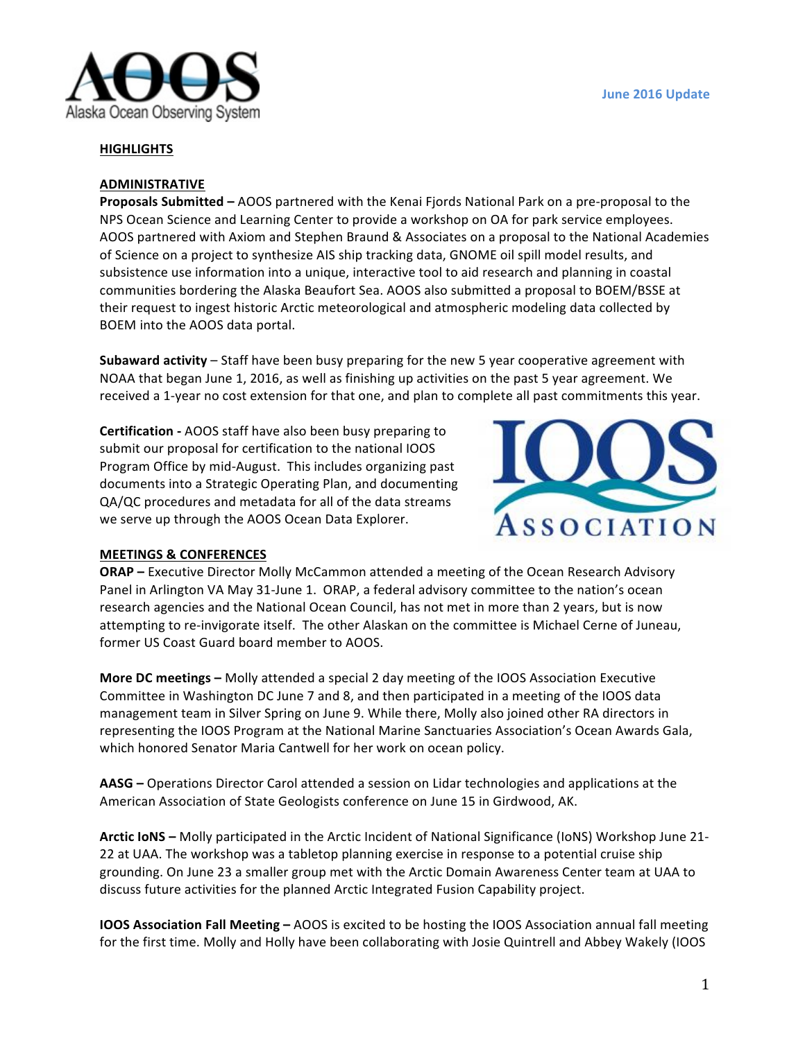

## **HIGHLIGHTS**

## **ADMINISTRATIVE**

**Proposals Submitted** – AOOS partnered with the Kenai Fjords National Park on a pre-proposal to the NPS Ocean Science and Learning Center to provide a workshop on OA for park service employees. AOOS partnered with Axiom and Stephen Braund & Associates on a proposal to the National Academies of Science on a project to synthesize AIS ship tracking data, GNOME oil spill model results, and subsistence use information into a unique, interactive tool to aid research and planning in coastal communities bordering the Alaska Beaufort Sea. AOOS also submitted a proposal to BOEM/BSSE at their request to ingest historic Arctic meteorological and atmospheric modeling data collected by BOEM into the AOOS data portal.

**Subaward activity** – Staff have been busy preparing for the new 5 year cooperative agreement with NOAA that began June 1, 2016, as well as finishing up activities on the past 5 year agreement. We received a 1-year no cost extension for that one, and plan to complete all past commitments this year.

**Certification** - AOOS staff have also been busy preparing to submit our proposal for certification to the national IOOS Program Office by mid-August. This includes organizing past documents into a Strategic Operating Plan, and documenting QA/QC procedures and metadata for all of the data streams we serve up through the AOOS Ocean Data Explorer.



#### **MEETINGS & CONFERENCES**

**ORAP** – Executive Director Molly McCammon attended a meeting of the Ocean Research Advisory Panel in Arlington VA May 31-June 1. ORAP, a federal advisory committee to the nation's ocean research agencies and the National Ocean Council, has not met in more than 2 years, but is now attempting to re-invigorate itself. The other Alaskan on the committee is Michael Cerne of Juneau, former US Coast Guard board member to AOOS.

**More DC meetings –** Molly attended a special 2 day meeting of the IOOS Association Executive Committee in Washington DC June 7 and 8, and then participated in a meeting of the IOOS data management team in Silver Spring on June 9. While there, Molly also joined other RA directors in representing the IOOS Program at the National Marine Sanctuaries Association's Ocean Awards Gala, which honored Senator Maria Cantwell for her work on ocean policy.

**AASG** – Operations Director Carol attended a session on Lidar technologies and applications at the American Association of State Geologists conference on June 15 in Girdwood, AK.

Arctic IoNS – Molly participated in the Arctic Incident of National Significance (IoNS) Workshop June 21-22 at UAA. The workshop was a tabletop planning exercise in response to a potential cruise ship grounding. On June 23 a smaller group met with the Arctic Domain Awareness Center team at UAA to discuss future activities for the planned Arctic Integrated Fusion Capability project.

**IOOS Association Fall Meeting** – AOOS is excited to be hosting the IOOS Association annual fall meeting for the first time. Molly and Holly have been collaborating with Josie Quintrell and Abbey Wakely (IOOS